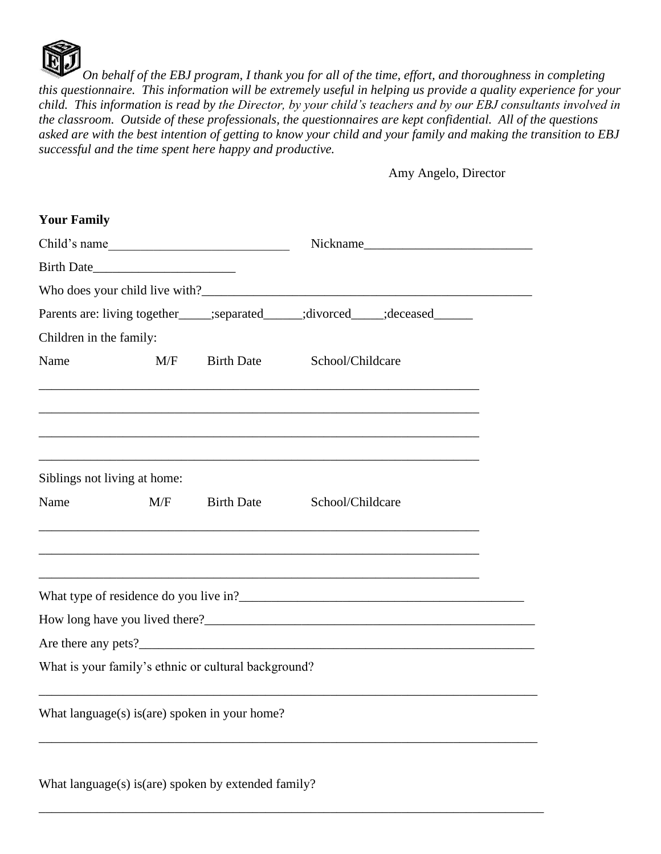

*On behalf of the EBJ program, I thank you for all of the time, effort, and thoroughness in completing this questionnaire. This information will be extremely useful in helping us provide a quality experience for your child. This information is read by the Director, by your child's teachers and by our EBJ consultants involved in the classroom. Outside of these professionals, the questionnaires are kept confidential. All of the questions asked are with the best intention of getting to know your child and your family and making the transition to EBJ successful and the time spent here happy and productive.*

Amy Angelo, Director

| <b>Your Family</b>      |                              |                                                      |                  |                                                                                 |  |
|-------------------------|------------------------------|------------------------------------------------------|------------------|---------------------------------------------------------------------------------|--|
| Child's name            |                              | Nickname                                             |                  |                                                                                 |  |
|                         |                              |                                                      |                  |                                                                                 |  |
|                         |                              |                                                      |                  |                                                                                 |  |
|                         |                              |                                                      |                  | Parents are: living together_____;separated______;divorced_____;deceased_______ |  |
| Children in the family: |                              |                                                      |                  |                                                                                 |  |
| Name                    | M/F                          | <b>Birth Date</b>                                    | School/Childcare |                                                                                 |  |
|                         |                              |                                                      |                  |                                                                                 |  |
|                         | Siblings not living at home: |                                                      |                  |                                                                                 |  |
| Name                    | M/F                          | <b>Birth Date</b>                                    | School/Childcare |                                                                                 |  |
|                         |                              |                                                      |                  |                                                                                 |  |
|                         |                              |                                                      |                  |                                                                                 |  |
|                         |                              |                                                      |                  |                                                                                 |  |
|                         |                              |                                                      |                  |                                                                                 |  |
|                         |                              | What is your family's ethnic or cultural background? |                  |                                                                                 |  |
|                         |                              | What $language(s)$ is (are) spoken in your home?     |                  |                                                                                 |  |
|                         |                              | What language(s) is(are) spoken by extended family?  |                  |                                                                                 |  |

\_\_\_\_\_\_\_\_\_\_\_\_\_\_\_\_\_\_\_\_\_\_\_\_\_\_\_\_\_\_\_\_\_\_\_\_\_\_\_\_\_\_\_\_\_\_\_\_\_\_\_\_\_\_\_\_\_\_\_\_\_\_\_\_\_\_\_\_\_\_\_\_\_\_\_\_\_\_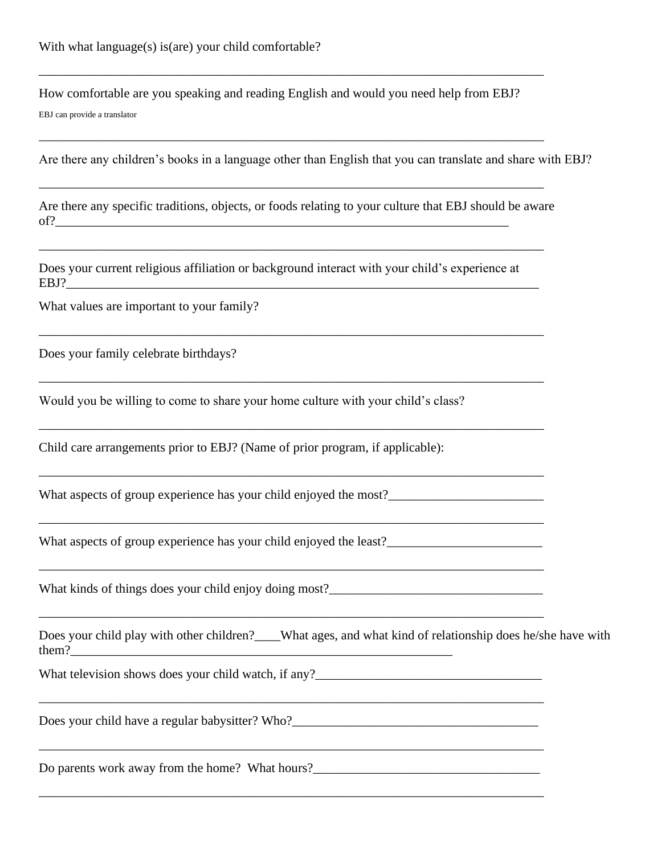How comfortable are you speaking and reading English and would you need help from EBJ? EBJ can provide a translator

\_\_\_\_\_\_\_\_\_\_\_\_\_\_\_\_\_\_\_\_\_\_\_\_\_\_\_\_\_\_\_\_\_\_\_\_\_\_\_\_\_\_\_\_\_\_\_\_\_\_\_\_\_\_\_\_\_\_\_\_\_\_\_\_\_\_\_\_\_\_\_\_\_\_\_\_\_\_

\_\_\_\_\_\_\_\_\_\_\_\_\_\_\_\_\_\_\_\_\_\_\_\_\_\_\_\_\_\_\_\_\_\_\_\_\_\_\_\_\_\_\_\_\_\_\_\_\_\_\_\_\_\_\_\_\_\_\_\_\_\_\_\_\_\_\_\_\_\_\_\_\_\_\_\_\_\_

\_\_\_\_\_\_\_\_\_\_\_\_\_\_\_\_\_\_\_\_\_\_\_\_\_\_\_\_\_\_\_\_\_\_\_\_\_\_\_\_\_\_\_\_\_\_\_\_\_\_\_\_\_\_\_\_\_\_\_\_\_\_\_\_\_\_\_\_\_\_\_\_\_\_\_\_\_\_

\_\_\_\_\_\_\_\_\_\_\_\_\_\_\_\_\_\_\_\_\_\_\_\_\_\_\_\_\_\_\_\_\_\_\_\_\_\_\_\_\_\_\_\_\_\_\_\_\_\_\_\_\_\_\_\_\_\_\_\_\_\_\_\_\_\_\_\_\_\_\_\_\_\_\_\_\_\_

\_\_\_\_\_\_\_\_\_\_\_\_\_\_\_\_\_\_\_\_\_\_\_\_\_\_\_\_\_\_\_\_\_\_\_\_\_\_\_\_\_\_\_\_\_\_\_\_\_\_\_\_\_\_\_\_\_\_\_\_\_\_\_\_\_\_\_\_\_\_\_\_\_\_\_\_\_\_

\_\_\_\_\_\_\_\_\_\_\_\_\_\_\_\_\_\_\_\_\_\_\_\_\_\_\_\_\_\_\_\_\_\_\_\_\_\_\_\_\_\_\_\_\_\_\_\_\_\_\_\_\_\_\_\_\_\_\_\_\_\_\_\_\_\_\_\_\_\_\_\_\_\_\_\_\_\_

\_\_\_\_\_\_\_\_\_\_\_\_\_\_\_\_\_\_\_\_\_\_\_\_\_\_\_\_\_\_\_\_\_\_\_\_\_\_\_\_\_\_\_\_\_\_\_\_\_\_\_\_\_\_\_\_\_\_\_\_\_\_\_\_\_\_\_\_\_\_\_\_\_\_\_\_\_\_

\_\_\_\_\_\_\_\_\_\_\_\_\_\_\_\_\_\_\_\_\_\_\_\_\_\_\_\_\_\_\_\_\_\_\_\_\_\_\_\_\_\_\_\_\_\_\_\_\_\_\_\_\_\_\_\_\_\_\_\_\_\_\_\_\_\_\_\_\_\_\_\_\_\_\_\_\_\_

\_\_\_\_\_\_\_\_\_\_\_\_\_\_\_\_\_\_\_\_\_\_\_\_\_\_\_\_\_\_\_\_\_\_\_\_\_\_\_\_\_\_\_\_\_\_\_\_\_\_\_\_\_\_\_\_\_\_\_\_\_\_\_\_\_\_\_\_\_\_\_\_\_\_\_\_\_\_

\_\_\_\_\_\_\_\_\_\_\_\_\_\_\_\_\_\_\_\_\_\_\_\_\_\_\_\_\_\_\_\_\_\_\_\_\_\_\_\_\_\_\_\_\_\_\_\_\_\_\_\_\_\_\_\_\_\_\_\_\_\_\_\_\_\_\_\_\_\_\_\_\_\_\_\_\_\_

\_\_\_\_\_\_\_\_\_\_\_\_\_\_\_\_\_\_\_\_\_\_\_\_\_\_\_\_\_\_\_\_\_\_\_\_\_\_\_\_\_\_\_\_\_\_\_\_\_\_\_\_\_\_\_\_\_\_\_\_\_\_\_\_\_\_\_\_\_\_\_\_\_\_\_\_\_\_

\_\_\_\_\_\_\_\_\_\_\_\_\_\_\_\_\_\_\_\_\_\_\_\_\_\_\_\_\_\_\_\_\_\_\_\_\_\_\_\_\_\_\_\_\_\_\_\_\_\_\_\_\_\_\_\_\_\_\_\_\_\_\_\_\_\_\_\_\_\_\_\_\_\_\_\_\_\_

Are there any children's books in a language other than English that you can translate and share with EBJ?

Are there any specific traditions, objects, or foods relating to your culture that EBJ should be aware of?\_\_\_\_\_\_\_\_\_\_\_\_\_\_\_\_\_\_\_\_\_\_\_\_\_\_\_\_\_\_\_\_\_\_\_\_\_\_\_\_\_\_\_\_\_\_\_\_\_\_\_\_\_\_\_\_\_\_\_\_\_\_\_\_\_\_\_\_\_\_

Does your current religious affiliation or background interact with your child's experience at  $EBJ$ ?

What values are important to your family?

Does your family celebrate birthdays?

Would you be willing to come to share your home culture with your child's class?

Child care arrangements prior to EBJ? (Name of prior program, if applicable):

What aspects of group experience has your child enjoyed the most?\_\_\_\_\_\_\_\_\_\_\_\_\_\_\_\_\_\_\_\_\_\_\_\_

What aspects of group experience has your child enjoyed the least?\_\_\_\_\_\_\_\_\_\_\_\_\_\_\_\_\_\_\_\_\_\_\_\_

What kinds of things does your child enjoy doing most?\_\_\_\_\_\_\_\_\_\_\_\_\_\_\_\_\_\_\_\_\_\_\_\_\_\_\_

|       | Does your child play with other children?____What ages, and what kind of relationship does he/she have with |
|-------|-------------------------------------------------------------------------------------------------------------|
| them? |                                                                                                             |

What television shows does your child watch, if any?\_\_\_\_\_\_\_\_\_\_\_\_\_\_\_\_\_\_\_\_\_\_\_\_\_\_\_\_\_\_\_\_\_\_\_

Does your child have a regular babysitter? Who?\_\_\_\_\_\_\_\_\_\_\_\_\_\_\_\_\_\_\_\_\_\_\_\_\_\_\_\_\_\_\_\_\_\_

Do parents work away from the home? What hours?\_\_\_\_\_\_\_\_\_\_\_\_\_\_\_\_\_\_\_\_\_\_\_\_\_\_\_\_\_\_\_\_\_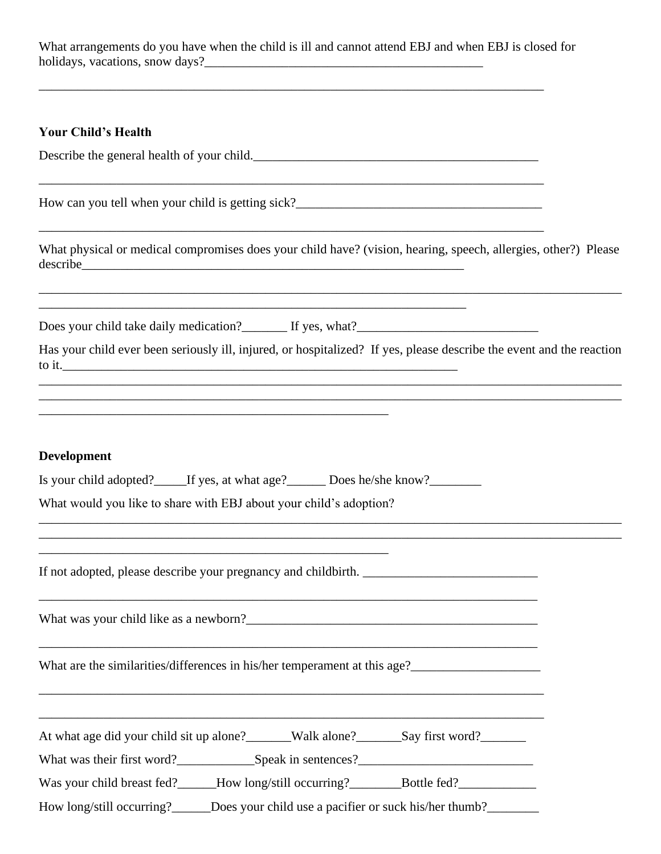What arrangements do you have when the child is ill and cannot attend EBJ and when EBJ is closed for holidays, vacations, snow days?\_\_\_\_\_\_\_\_\_\_\_\_\_\_\_\_\_\_\_\_\_\_\_\_\_\_\_\_\_\_\_\_\_\_\_\_\_\_\_\_\_\_\_

\_\_\_\_\_\_\_\_\_\_\_\_\_\_\_\_\_\_\_\_\_\_\_\_\_\_\_\_\_\_\_\_\_\_\_\_\_\_\_\_\_\_\_\_\_\_\_\_\_\_\_\_\_\_\_\_\_\_\_\_\_\_\_\_\_\_\_\_\_\_\_\_\_\_\_\_\_\_

\_\_\_\_\_\_\_\_\_\_\_\_\_\_\_\_\_\_\_\_\_\_\_\_\_\_\_\_\_\_\_\_\_\_\_\_\_\_\_\_\_\_\_\_\_\_\_\_\_\_\_\_\_\_\_\_\_\_\_\_\_\_\_\_\_\_\_\_\_\_\_\_\_\_\_\_\_\_

\_\_\_\_\_\_\_\_\_\_\_\_\_\_\_\_\_\_\_\_\_\_\_\_\_\_\_\_\_\_\_\_\_\_\_\_\_\_\_\_\_\_\_\_\_\_\_\_\_\_\_\_\_\_\_\_\_\_\_\_\_\_\_\_\_\_\_\_\_\_\_\_\_\_\_\_\_\_

## **Your Child's Health**

Describe the general health of your child.\_\_\_\_\_\_\_\_\_\_\_\_\_\_\_\_\_\_\_\_\_\_\_\_\_\_\_\_\_\_\_\_\_\_\_\_\_\_\_\_\_\_\_\_

How can you tell when your child is getting sick?\_\_\_\_\_\_\_\_\_\_\_\_\_\_\_\_\_\_\_\_\_\_\_\_\_\_\_\_\_\_\_\_

What physical or medical compromises does your child have? (vision, hearing, speech, allergies, other?) Please describe\_\_\_\_\_\_\_\_\_\_\_\_\_\_\_\_\_\_\_\_\_\_\_\_\_\_\_\_\_\_\_\_\_\_\_\_\_\_\_\_\_\_\_\_\_\_\_\_\_\_\_\_\_\_\_\_\_\_\_

Does your child take daily medication? If yes, what?

| Has your child ever been seriously ill, injured, or hospitalized? If yes, please describe the event and the reaction |  |  |  |
|----------------------------------------------------------------------------------------------------------------------|--|--|--|
| to it.                                                                                                               |  |  |  |

\_\_\_\_\_\_\_\_\_\_\_\_\_\_\_\_\_\_\_\_\_\_\_\_\_\_\_\_\_\_\_\_\_\_\_\_\_\_\_\_\_\_\_\_\_\_\_\_\_\_\_\_\_\_\_\_\_\_\_\_\_\_\_\_\_\_\_\_\_\_\_\_\_\_\_\_\_\_\_\_\_\_\_\_\_\_\_\_\_\_ \_\_\_\_\_\_\_\_\_\_\_\_\_\_\_\_\_\_\_\_\_\_\_\_\_\_\_\_\_\_\_\_\_\_\_\_\_\_\_\_\_\_\_\_\_\_\_\_\_\_\_\_\_\_\_\_\_\_\_\_\_\_\_\_\_\_\_\_\_\_\_\_\_\_\_\_\_\_\_\_\_\_\_\_\_\_\_\_\_\_

\_\_\_\_\_\_\_\_\_\_\_\_\_\_\_\_\_\_\_\_\_\_\_\_\_\_\_\_\_\_\_\_\_\_\_\_\_\_\_\_\_\_\_\_\_\_\_\_\_\_\_\_\_\_\_\_\_\_\_\_\_\_\_\_\_\_\_\_\_\_\_\_\_\_\_\_\_\_\_\_\_\_\_\_\_\_\_\_\_\_ \_\_\_\_\_\_\_\_\_\_\_\_\_\_\_\_\_\_\_\_\_\_\_\_\_\_\_\_\_\_\_\_\_\_\_\_\_\_\_\_\_\_\_\_\_\_\_\_\_\_\_\_\_\_\_\_\_\_\_\_\_\_\_\_\_\_\_\_\_\_\_\_\_\_\_\_\_\_\_\_\_\_\_\_\_\_\_\_\_\_

## **Development**

|  | Is your child adopted? | If yes, at what age? | Does he/she know? |
|--|------------------------|----------------------|-------------------|
|--|------------------------|----------------------|-------------------|

\_\_\_\_\_\_\_\_\_\_\_\_\_\_\_\_\_\_\_\_\_\_\_\_\_\_\_\_\_\_\_\_\_\_\_\_\_\_\_\_\_\_\_\_\_\_\_\_\_\_\_\_\_\_\_\_\_\_\_\_\_\_\_\_\_\_

What would you like to share with EBJ about your child's adoption?

\_\_\_\_\_\_\_\_\_\_\_\_\_\_\_\_\_\_\_\_\_\_\_\_\_\_\_\_\_\_\_\_\_\_\_\_\_\_\_\_\_\_\_\_\_\_\_\_\_\_\_\_\_\_

If not adopted, please describe your pregnancy and childbirth. \_\_\_\_\_\_\_\_\_\_\_\_\_\_\_\_\_\_\_\_\_\_\_\_\_\_\_

What was your child like as a newborn?

What are the similarities/differences in his/her temperament at this age?

|  | At what age did your child sit up alone? | Walk alone? | Say first word? |
|--|------------------------------------------|-------------|-----------------|
|--|------------------------------------------|-------------|-----------------|

\_\_\_\_\_\_\_\_\_\_\_\_\_\_\_\_\_\_\_\_\_\_\_\_\_\_\_\_\_\_\_\_\_\_\_\_\_\_\_\_\_\_\_\_\_\_\_\_\_\_\_\_\_\_\_\_\_\_\_\_\_\_\_\_\_\_\_\_\_\_\_\_\_\_\_\_\_

\_\_\_\_\_\_\_\_\_\_\_\_\_\_\_\_\_\_\_\_\_\_\_\_\_\_\_\_\_\_\_\_\_\_\_\_\_\_\_\_\_\_\_\_\_\_\_\_\_\_\_\_\_\_\_\_\_\_\_\_\_\_\_\_\_\_\_\_\_\_\_\_\_\_\_\_\_

\_\_\_\_\_\_\_\_\_\_\_\_\_\_\_\_\_\_\_\_\_\_\_\_\_\_\_\_\_\_\_\_\_\_\_\_\_\_\_\_\_\_\_\_\_\_\_\_\_\_\_\_\_\_\_\_\_\_\_\_\_\_\_\_\_\_\_\_\_\_\_\_\_\_\_\_\_\_

\_\_\_\_\_\_\_\_\_\_\_\_\_\_\_\_\_\_\_\_\_\_\_\_\_\_\_\_\_\_\_\_\_\_\_\_\_\_\_\_\_\_\_\_\_\_\_\_\_\_\_\_\_\_\_\_\_\_\_\_\_\_\_\_\_\_\_\_\_\_\_\_\_\_\_\_\_\_

What was their first word?\_\_\_\_\_\_\_\_\_\_\_\_Speak in sentences?\_\_\_\_\_\_\_\_\_\_\_\_\_\_\_\_\_\_\_\_\_\_\_\_\_\_\_

Was your child breast fed?\_\_\_\_\_How long/still occurring?\_\_\_\_\_\_Bottle fed?\_\_\_\_\_\_\_\_

How long/still occurring? Does your child use a pacifier or suck his/her thumb?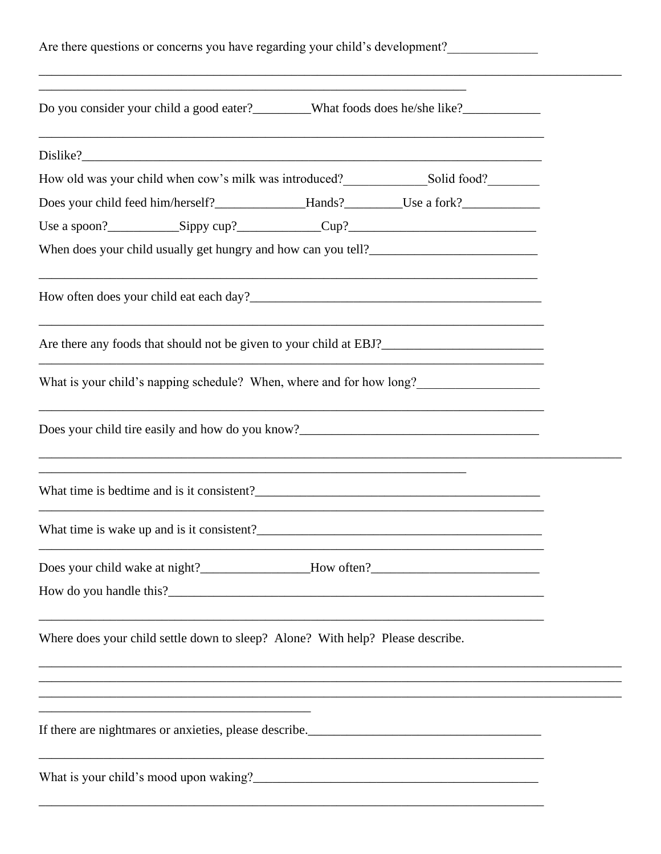| Are there questions or concerns you have regarding your child's development?                                                                                                                                                     |  |
|----------------------------------------------------------------------------------------------------------------------------------------------------------------------------------------------------------------------------------|--|
| Do you consider your child a good eater?________What foods does he/she like?___________                                                                                                                                          |  |
|                                                                                                                                                                                                                                  |  |
| How old was your child when cow's milk was introduced?<br>Solid food?  Solid food?  Solid food?  Solid food?  Solid food?  Solid food?  Solid food?  Solid food?  Solid food?  Solid food?  Solid food?  Solid food?  Solid food |  |
|                                                                                                                                                                                                                                  |  |
|                                                                                                                                                                                                                                  |  |
|                                                                                                                                                                                                                                  |  |
|                                                                                                                                                                                                                                  |  |
| <u> 1989 - Johann Stoff, deutscher Stoff, der Stoff, der Stoff, der Stoff, der Stoff, der Stoff, der Stoff, der S</u>                                                                                                            |  |
| What is your child's napping schedule? When, where and for how long?                                                                                                                                                             |  |
|                                                                                                                                                                                                                                  |  |
| ,我们也不会有什么。""我们的人,我们也不会有什么?""我们的人,我们也不会有什么?""我们的人,我们也不会有什么?""我们的人,我们也不会有什么?""我们的人                                                                                                                                                 |  |
|                                                                                                                                                                                                                                  |  |
|                                                                                                                                                                                                                                  |  |
|                                                                                                                                                                                                                                  |  |
| Where does your child settle down to sleep? Alone? With help? Please describe.                                                                                                                                                   |  |
|                                                                                                                                                                                                                                  |  |
| <u> 1989 - Johann Harry Harry Harry Harry Harry Harry Harry Harry Harry Harry Harry Harry Harry Harry Harry Harry</u>                                                                                                            |  |
|                                                                                                                                                                                                                                  |  |
|                                                                                                                                                                                                                                  |  |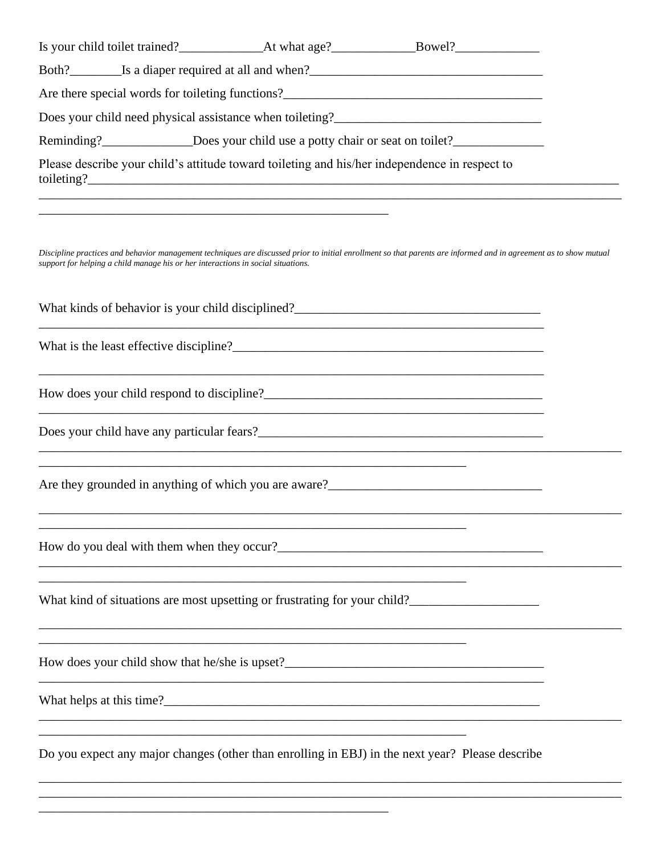| Reminding?________________Does your child use a potty chair or seat on toilet?_____________________                                                                                                                                                   |  |
|-------------------------------------------------------------------------------------------------------------------------------------------------------------------------------------------------------------------------------------------------------|--|
| Please describe your child's attitude toward toileting and his/her independence in respect to<br>,我们也不能在这里的时候,我们也不能在这里的时候,我们也不能会在这里的时候,我们也不能会在这里的时候,我们也不能会在这里的时候,我们也不能会在这里的时候,我们也不                                                                    |  |
| Discipline practices and behavior management techniques are discussed prior to initial enrollment so that parents are informed and in agreement as to show mutual<br>support for helping a child manage his or her interactions in social situations. |  |
|                                                                                                                                                                                                                                                       |  |
|                                                                                                                                                                                                                                                       |  |
| How does your child respond to discipline?<br><u>Letter and the spondard control of the spondard control of the spondard control of the spondard control of the spondard control of the spondard control of the spondard control o</u>                |  |
| ,我们也不能在这里的时候,我们也不能在这里的时候,我们也不能会在这里的时候,我们也不能会在这里的时候,我们也不能会在这里的时候,我们也不能会在这里的时候,我们也不                                                                                                                                                                     |  |
| ,我们也不会有什么。""我们的人,我们也不会有什么?""我们的人,我们也不会有什么?""我们的人,我们也不会有什么?""我们的人,我们也不会有什么?""我们的人                                                                                                                                                                      |  |
|                                                                                                                                                                                                                                                       |  |
| What kind of situations are most upsetting or frustrating for your child?___________________________                                                                                                                                                  |  |
|                                                                                                                                                                                                                                                       |  |
|                                                                                                                                                                                                                                                       |  |
| Do you expect any major changes (other than enrolling in EBJ) in the next year? Please describe                                                                                                                                                       |  |

\_\_\_\_\_\_\_\_\_\_\_\_\_\_\_\_\_\_\_\_\_\_\_\_\_\_\_\_\_\_\_\_\_\_\_\_\_\_\_\_\_\_\_\_\_\_\_\_\_\_\_\_\_\_\_\_\_\_\_\_\_\_\_\_\_\_\_\_\_\_\_\_\_\_\_\_\_\_\_\_\_\_\_\_\_\_\_\_\_\_

\_\_\_\_\_\_\_\_\_\_\_\_\_\_\_\_\_\_\_\_\_\_\_\_\_\_\_\_\_\_\_\_\_\_\_\_\_\_\_\_\_\_\_\_\_\_\_\_\_\_\_\_\_\_